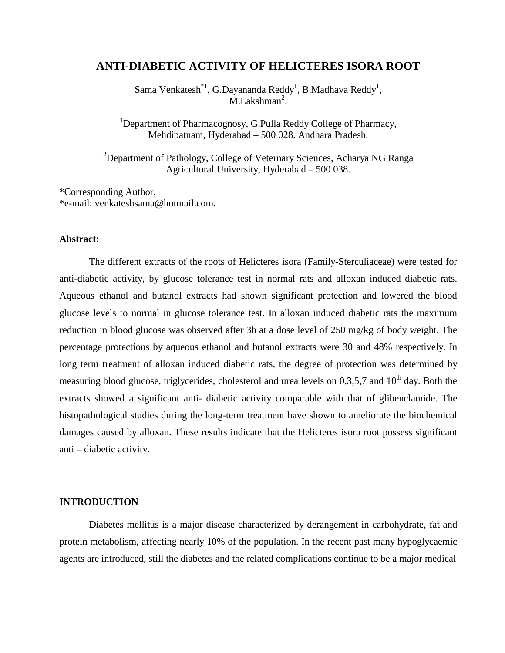# **ANTI-DIABETIC ACTIVITY OF HELICTERES ISORA ROOT**

Sama Venkatesh $^{*1}$ , G.Dayananda Reddy<sup>1</sup>, B.Madhava Reddy<sup>1</sup>,  $M.Lakshman<sup>2</sup>$ .

<sup>1</sup>Department of Pharmacognosy, G.Pulla Reddy College of Pharmacy, Mehdipatnam, Hyderabad – 500 028. Andhara Pradesh.

<sup>2</sup>Department of Pathology, College of Veternary Sciences, Acharya NG Ranga Agricultural University, Hyderabad – 500 038.

\*Corresponding Author, \*e-mail: venkateshsama@hotmail.com.

#### **Abstract:**

 The different extracts of the roots of Helicteres isora (Family-Sterculiaceae) were tested for anti-diabetic activity, by glucose tolerance test in normal rats and alloxan induced diabetic rats. Aqueous ethanol and butanol extracts had shown significant protection and lowered the blood glucose levels to normal in glucose tolerance test. In alloxan induced diabetic rats the maximum reduction in blood glucose was observed after 3h at a dose level of 250 mg/kg of body weight. The percentage protections by aqueous ethanol and butanol extracts were 30 and 48% respectively. In long term treatment of alloxan induced diabetic rats, the degree of protection was determined by measuring blood glucose, triglycerides, cholesterol and urea levels on  $0,3,5,7$  and  $10<sup>th</sup>$  day. Both the extracts showed a significant anti- diabetic activity comparable with that of glibenclamide. The histopathological studies during the long-term treatment have shown to ameliorate the biochemical damages caused by alloxan. These results indicate that the Helicteres isora root possess significant anti – diabetic activity.

#### **INTRODUCTION**

 Diabetes mellitus is a major disease characterized by derangement in carbohydrate, fat and protein metabolism, affecting nearly 10% of the population. In the recent past many hypoglycaemic agents are introduced, still the diabetes and the related complications continue to be a major medical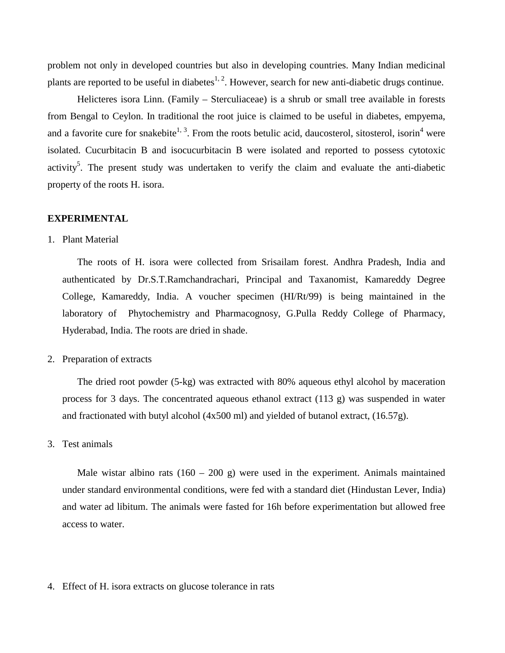problem not only in developed countries but also in developing countries. Many Indian medicinal plants are reported to be useful in diabetes<sup>1, 2</sup>. However, search for new anti-diabetic drugs continue.

Helicteres isora Linn. (Family – Sterculiaceae) is a shrub or small tree available in forests from Bengal to Ceylon. In traditional the root juice is claimed to be useful in diabetes, empyema, and a favorite cure for snakebite<sup>1, 3</sup>. From the roots betulic acid, daucosterol, sitosterol, isorin<sup>4</sup> were isolated. Cucurbitacin B and isocucurbitacin B were isolated and reported to possess cytotoxic activity<sup>5</sup>. The present study was undertaken to verify the claim and evaluate the anti-diabetic property of the roots H. isora.

#### **EXPERIMENTAL**

1. Plant Material

The roots of H. isora were collected from Srisailam forest. Andhra Pradesh, India and authenticated by Dr.S.T.Ramchandrachari, Principal and Taxanomist, Kamareddy Degree College, Kamareddy, India. A voucher specimen (HI/Rt/99) is being maintained in the laboratory of Phytochemistry and Pharmacognosy, G.Pulla Reddy College of Pharmacy, Hyderabad, India. The roots are dried in shade.

2. Preparation of extracts

The dried root powder (5-kg) was extracted with 80% aqueous ethyl alcohol by maceration process for 3 days. The concentrated aqueous ethanol extract (113 g) was suspended in water and fractionated with butyl alcohol (4x500 ml) and yielded of butanol extract, (16.57g).

3. Test animals

Male wistar albino rats  $(160 - 200)$  g) were used in the experiment. Animals maintained under standard environmental conditions, were fed with a standard diet (Hindustan Lever, India) and water ad libitum. The animals were fasted for 16h before experimentation but allowed free access to water.

4. Effect of H. isora extracts on glucose tolerance in rats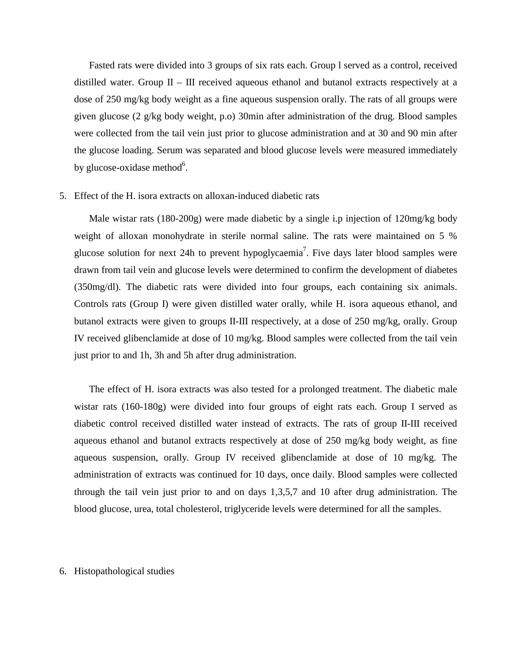Fasted rats were divided into 3 groups of six rats each. Group l served as a control, received distilled water. Group  $II - III$  received aqueous ethanol and butanol extracts respectively at a dose of 250 mg/kg body weight as a fine aqueous suspension orally. The rats of all groups were given glucose (2 g/kg body weight, p.o) 30min after administration of the drug. Blood samples were collected from the tail vein just prior to glucose administration and at 30 and 90 min after the glucose loading. Serum was separated and blood glucose levels were measured immediately by glucose-oxidase method<sup>6</sup>.

## 5. Effect of the H. isora extracts on alloxan-induced diabetic rats

Male wistar rats (180-200g) were made diabetic by a single i.p injection of 120mg/kg body weight of alloxan monohydrate in sterile normal saline. The rats were maintained on 5 % glucose solution for next 24h to prevent hypoglycaemia<sup>7</sup>. Five days later blood samples were drawn from tail vein and glucose levels were determined to confirm the development of diabetes (350mg/dl). The diabetic rats were divided into four groups, each containing six animals. Controls rats (Group I) were given distilled water orally, while H. isora aqueous ethanol, and butanol extracts were given to groups II-III respectively, at a dose of 250 mg/kg, orally. Group IV received glibenclamide at dose of 10 mg/kg. Blood samples were collected from the tail vein just prior to and 1h, 3h and 5h after drug administration.

 The effect of H. isora extracts was also tested for a prolonged treatment. The diabetic male wistar rats (160-180g) were divided into four groups of eight rats each. Group I served as diabetic control received distilled water instead of extracts. The rats of group II-III received aqueous ethanol and butanol extracts respectively at dose of 250 mg/kg body weight, as fine aqueous suspension, orally. Group IV received glibenclamide at dose of 10 mg/kg. The administration of extracts was continued for 10 days, once daily. Blood samples were collected through the tail vein just prior to and on days 1,3,5,7 and 10 after drug administration. The blood glucose, urea, total cholesterol, triglyceride levels were determined for all the samples.

## 6. Histopathological studies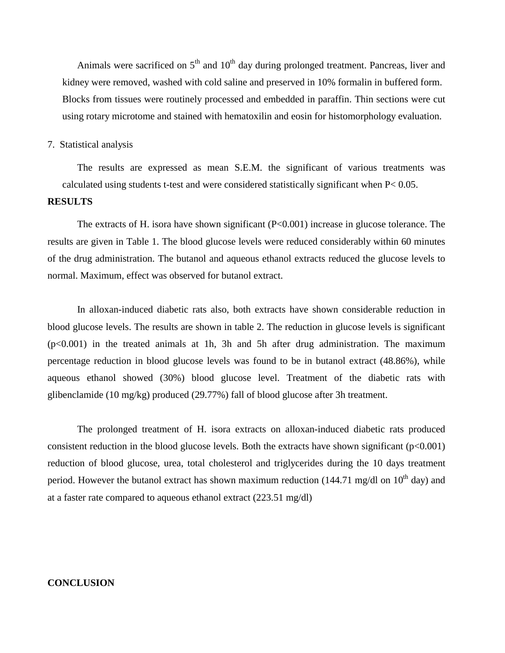Animals were sacrificed on  $5<sup>th</sup>$  and  $10<sup>th</sup>$  day during prolonged treatment. Pancreas, liver and kidney were removed, washed with cold saline and preserved in 10% formalin in buffered form. Blocks from tissues were routinely processed and embedded in paraffin. Thin sections were cut using rotary microtome and stained with hematoxilin and eosin for histomorphology evaluation.

## 7. Statistical analysis

The results are expressed as mean S.E.M. the significant of various treatments was calculated using students t-test and were considered statistically significant when P< 0.05.

## **RESULTS**

 The extracts of H. isora have shown significant (P<0.001) increase in glucose tolerance. The results are given in Table 1. The blood glucose levels were reduced considerably within 60 minutes of the drug administration. The butanol and aqueous ethanol extracts reduced the glucose levels to normal. Maximum, effect was observed for butanol extract.

 In alloxan-induced diabetic rats also, both extracts have shown considerable reduction in blood glucose levels. The results are shown in table 2. The reduction in glucose levels is significant  $(p<0.001)$  in the treated animals at 1h, 3h and 5h after drug administration. The maximum percentage reduction in blood glucose levels was found to be in butanol extract (48.86%), while aqueous ethanol showed (30%) blood glucose level. Treatment of the diabetic rats with glibenclamide (10 mg/kg) produced (29.77%) fall of blood glucose after 3h treatment.

 The prolonged treatment of H. isora extracts on alloxan-induced diabetic rats produced consistent reduction in the blood glucose levels. Both the extracts have shown significant  $(p<0.001)$ reduction of blood glucose, urea, total cholesterol and triglycerides during the 10 days treatment period. However the butanol extract has shown maximum reduction (144.71 mg/dl on  $10^{th}$  day) and at a faster rate compared to aqueous ethanol extract (223.51 mg/dl)

## **CONCLUSION**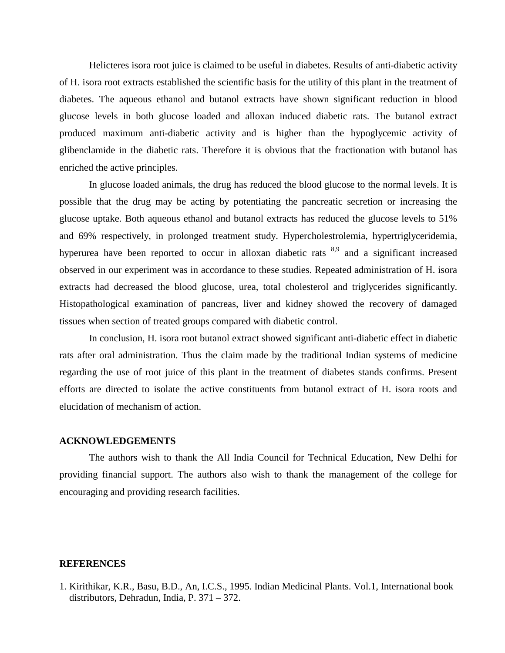Helicteres isora root juice is claimed to be useful in diabetes. Results of anti-diabetic activity of H. isora root extracts established the scientific basis for the utility of this plant in the treatment of diabetes. The aqueous ethanol and butanol extracts have shown significant reduction in blood glucose levels in both glucose loaded and alloxan induced diabetic rats. The butanol extract produced maximum anti-diabetic activity and is higher than the hypoglycemic activity of glibenclamide in the diabetic rats. Therefore it is obvious that the fractionation with butanol has enriched the active principles.

 In glucose loaded animals, the drug has reduced the blood glucose to the normal levels. It is possible that the drug may be acting by potentiating the pancreatic secretion or increasing the glucose uptake. Both aqueous ethanol and butanol extracts has reduced the glucose levels to 51% and 69% respectively, in prolonged treatment study. Hypercholestrolemia, hypertriglyceridemia, hyperurea have been reported to occur in alloxan diabetic rats  $8.9$  and a significant increased observed in our experiment was in accordance to these studies. Repeated administration of H. isora extracts had decreased the blood glucose, urea, total cholesterol and triglycerides significantly. Histopathological examination of pancreas, liver and kidney showed the recovery of damaged tissues when section of treated groups compared with diabetic control.

 In conclusion, H. isora root butanol extract showed significant anti-diabetic effect in diabetic rats after oral administration. Thus the claim made by the traditional Indian systems of medicine regarding the use of root juice of this plant in the treatment of diabetes stands confirms. Present efforts are directed to isolate the active constituents from butanol extract of H. isora roots and elucidation of mechanism of action.

#### **ACKNOWLEDGEMENTS**

 The authors wish to thank the All India Council for Technical Education, New Delhi for providing financial support. The authors also wish to thank the management of the college for encouraging and providing research facilities.

## **REFERENCES**

1. Kirithikar, K.R., Basu, B.D., An, I.C.S., 1995. Indian Medicinal Plants. Vol.1, International book distributors, Dehradun, India, P. 371 – 372.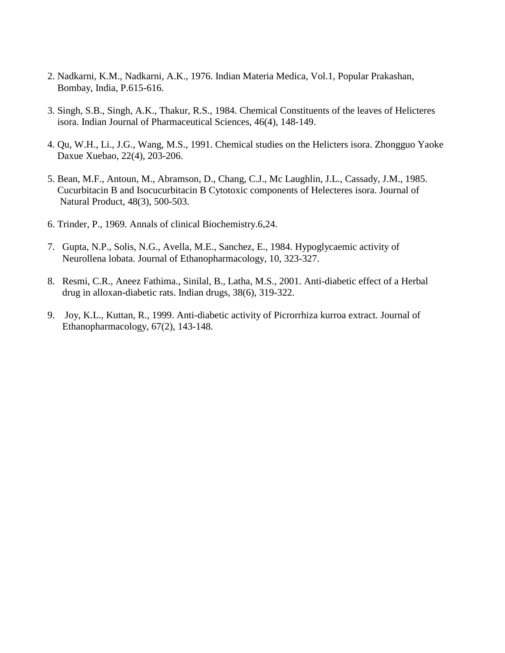- 2. Nadkarni, K.M., Nadkarni, A.K., 1976. Indian Materia Medica, Vol.1, Popular Prakashan, Bombay, India, P.615-616.
- 3. Singh, S.B., Singh, A.K., Thakur, R.S., 1984. Chemical Constituents of the leaves of Helicteres isora. Indian Journal of Pharmaceutical Sciences, 46(4), 148-149.
- 4. Qu, W.H., Li., J.G., Wang, M.S., 1991. Chemical studies on the Helicters isora. Zhongguo Yaoke Daxue Xuebao, 22(4), 203-206.
- 5. Bean, M.F., Antoun, M., Abramson, D., Chang, C.J., Mc Laughlin, J.L., Cassady, J.M., 1985. Cucurbitacin B and Isocucurbitacin B Cytotoxic components of Helecteres isora. Journal of Natural Product, 48(3), 500-503.
- 6. Trinder, P., 1969. Annals of clinical Biochemistry.6,24.
- 7. Gupta, N.P., Solis, N.G., Avella, M.E., Sanchez, E., 1984. Hypoglycaemic activity of Neurollena lobata. Journal of Ethanopharmacology, 10, 323-327.
- 8. Resmi, C.R., Aneez Fathima., Sinilal, B., Latha, M.S., 2001. Anti-diabetic effect of a Herbal drug in alloxan-diabetic rats. Indian drugs, 38(6), 319-322.
- 9. Joy, K.L., Kuttan, R., 1999. Anti-diabetic activity of Picrorrhiza kurroa extract. Journal of Ethanopharmacology, 67(2), 143-148.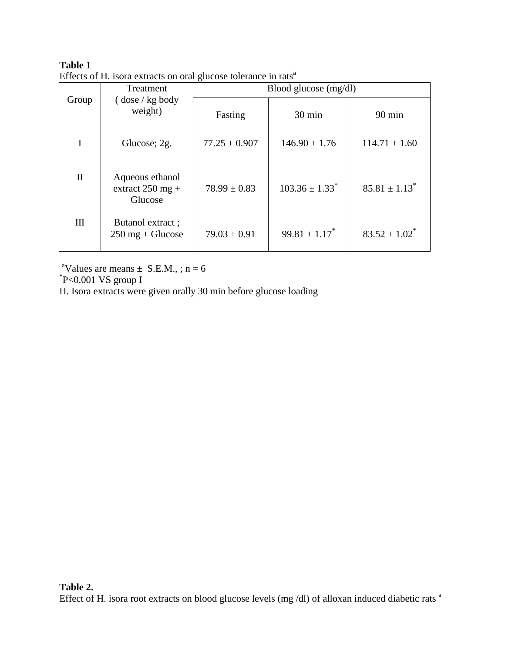# **Table 1**  Effects of H. isora extracts on oral glucose tolerance in rats<sup>a</sup>

| Group        | Treatment<br>$\frac{1}{2}$ dose / kg body<br>weight)  | Blood glucose $(mg/dl)$ |                                |                               |  |
|--------------|-------------------------------------------------------|-------------------------|--------------------------------|-------------------------------|--|
|              |                                                       | Fasting                 | 30 min                         | $90 \text{ min}$              |  |
|              | Glucose; 2g.                                          | $77.25 \pm 0.907$       | $146.90 \pm 1.76$              | $114.71 \pm 1.60$             |  |
| П            | Aqueous ethanol<br>extract $250$ mg +<br>Glucose      | $78.99 \pm 0.83$        | $103.36 \pm 1.33$ <sup>*</sup> | $85.81 \pm 1.13$ <sup>*</sup> |  |
| $\mathbf{I}$ | Butanol extract;<br>$250 \text{ mg} + \text{Glucose}$ | $79.03 \pm 0.91$        | $99.81 \pm 1.17$ <sup>*</sup>  | $83.52 \pm 1.02^*$            |  |

<sup>a</sup>Values are means  $\pm$  S.E.M., ; n = 6

\* P<0.001 VS group I

H. Isora extracts were given orally 30 min before glucose loading